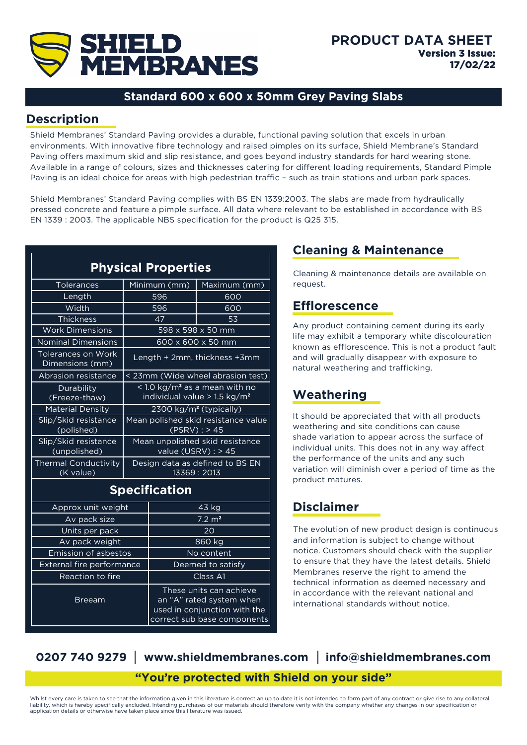

#### **Standard 600 x 600 x 50mm Grey Paving Slabs**

#### **Description**

Shield Membranes' Standard Paving provides a durable, functional paving solution that excels in urban environments. With innovative fibre technology and raised pimples on its surface, Shield Membrane's Standard Paving offers maximum skid and slip resistance, and goes beyond industry standards for hard wearing stone. Available in a range of colours, sizes and thicknesses catering for different loading requirements, Standard Pimple Paving is an ideal choice for areas with high pedestrian traffic – such as train stations and urban park spaces.

Shield Membranes' Standard Paving complies with BS EN 1339:2003. The slabs are made from hydraulically pressed concrete and feature a pimple surface. All data where relevant to be established in accordance with BS EN 1339 : 2003. The applicable NBS specification for the product is Q25 315.

| <b>Physical Properties</b>                   |                                                                                       |              |
|----------------------------------------------|---------------------------------------------------------------------------------------|--------------|
| <b>Tolerances</b>                            | Minimum (mm)                                                                          | Maximum (mm) |
| Length                                       | 596                                                                                   | 600          |
| Width                                        | 596                                                                                   | 600          |
| <b>Thickness</b>                             | 47                                                                                    | 53           |
| <b>Work Dimensions</b>                       | 598 x 598 x 50 mm                                                                     |              |
| <b>Nominal Dimensions</b>                    | 600 x 600 x 50 mm                                                                     |              |
| <b>Tolerances on Work</b><br>Dimensions (mm) | Length + 2mm, thickness +3mm                                                          |              |
| Abrasion resistance                          | < 23mm (Wide wheel abrasion test)                                                     |              |
| Durability<br>(Freeze-thaw)                  | < 1.0 kg/m <sup>2</sup> as a mean with no<br>individual value > 1.5 kg/m <sup>2</sup> |              |
| <b>Material Density</b>                      | 2300 kg/m <sup>2</sup> (typically)                                                    |              |
| Slip/Skid resistance<br>(polished)           | Mean polished skid resistance value<br>(PSRV): > 45                                   |              |
| Slip/Skid resistance<br>(unpolished)         | Mean unpolished skid resistance<br>value $(USRV):$ > 45                               |              |
| Thermal Conductivity<br>(K value)            | Design data as defined to BS EN<br>13369 : 2013                                       |              |

### **Specification**

| Approx unit weight          | $43$ kg                                                                                                            |  |
|-----------------------------|--------------------------------------------------------------------------------------------------------------------|--|
| Av pack size                | $7.2 \text{ m}^2$                                                                                                  |  |
| Units per pack              | 20                                                                                                                 |  |
| Av pack weight              | 860 kg                                                                                                             |  |
| <b>Emission of asbestos</b> | No content                                                                                                         |  |
| External fire performance   | Deemed to satisfy                                                                                                  |  |
| Reaction to fire            | Class A1                                                                                                           |  |
| <b>Breeam</b>               | These units can achieve<br>an "A" rated system when<br>used in conjunction with the<br>correct sub base components |  |

## **Cleaning & Maintenance**

Cleaning & maintenance details are available on request.

#### **Efflorescence**

Any product containing cement during its early life may exhibit a temporary white discolouration known as efflorescence. This is not a product fault and will gradually disappear with exposure to natural weathering and trafficking.

## **Weathering**

It should be appreciated that with all products weathering and site conditions can cause shade variation to appear across the surface of individual units. This does not in any way affect the performance of the units and any such variation will diminish over a period of time as the product matures.

## **Disclaimer**

The evolution of new product design is continuous and information is subject to change without notice. Customers should check with the supplier to ensure that they have the latest details. Shield Membranes reserve the right to amend the technical information as deemed necessary and in accordance with the relevant national and international standards without notice.

# **"You're protected with Shield on your side" 0207 740 9279 | www.shieldmembranes.com | info@shieldmembranes.com**

Whilst every care is taken to see that the information given in this literature is correct an up to date it is not intended to form part of any contract or give rise to any collateral liability, which is hereby specifically excluded. Intending purchases of our materials should therefore verify with the company whether any changes in our specification or application details or otherwise have taken place since this literature was issued.